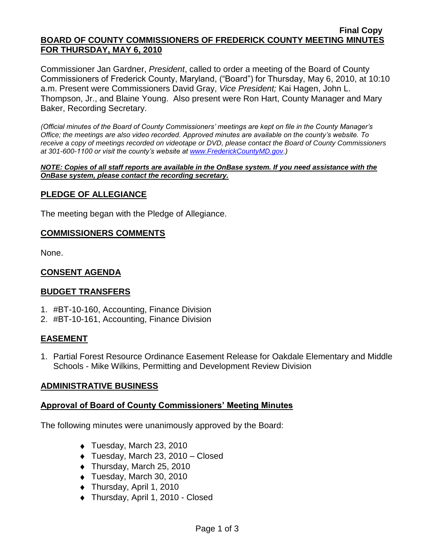#### **Final Copy BOARD OF COUNTY COMMISSIONERS OF FREDERICK COUNTY MEETING MINUTES FOR THURSDAY, MAY 6, 2010**

Commissioner Jan Gardner, *President*, called to order a meeting of the Board of County Commissioners of Frederick County, Maryland, ("Board") for Thursday, May 6, 2010, at 10:10 a.m. Present were Commissioners David Gray, *Vice President;* Kai Hagen, John L. Thompson, Jr., and Blaine Young. Also present were Ron Hart, County Manager and Mary Baker, Recording Secretary.

*(Official minutes of the Board of County Commissioners' meetings are kept on file in the County Manager's Office; the meetings are also video recorded. Approved minutes are available on the county's website. To receive a copy of meetings recorded on videotape or DVD, please contact the Board of County Commissioners at 301-600-1100 or visit the county's website at [www.FrederickCountyMD.gov.](http://www.frederickcountymd.gov/))*

*NOTE: Copies of all staff reports are available in the OnBase system. If you need assistance with the OnBase system, please contact the recording secretary.*

### **PLEDGE OF ALLEGIANCE**

The meeting began with the Pledge of Allegiance.

### **COMMISSIONERS COMMENTS**

None.

### **CONSENT AGENDA**

### **BUDGET TRANSFERS**

- 1. #BT-10-160, Accounting, Finance Division
- 2. #BT-10-161, Accounting, Finance Division

### **EASEMENT**

1. Partial Forest Resource Ordinance Easement Release for Oakdale Elementary and Middle Schools - Mike Wilkins, Permitting and Development Review Division

### **ADMINISTRATIVE BUSINESS**

### **Approval of Board of County Commissioners' Meeting Minutes**

The following minutes were unanimously approved by the Board:

- Tuesday, March 23, 2010
- Tuesday, March 23, 2010 Closed
- ◆ Thursday, March 25, 2010
- ◆ Tuesday, March 30, 2010
- ◆ Thursday, April 1, 2010
- ◆ Thursday, April 1, 2010 Closed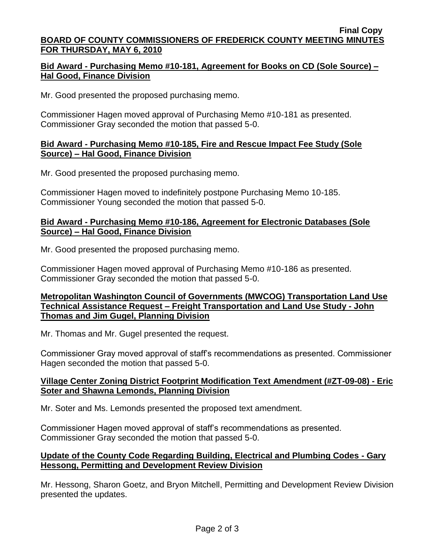#### **Final Copy BOARD OF COUNTY COMMISSIONERS OF FREDERICK COUNTY MEETING MINUTES FOR THURSDAY, MAY 6, 2010**

## **Bid Award - Purchasing Memo #10-181, Agreement for Books on CD (Sole Source) – Hal Good, Finance Division**

Mr. Good presented the proposed purchasing memo.

Commissioner Hagen moved approval of Purchasing Memo #10-181 as presented. Commissioner Gray seconded the motion that passed 5-0.

### **Bid Award - Purchasing Memo #10-185, Fire and Rescue Impact Fee Study (Sole Source) – Hal Good, Finance Division**

Mr. Good presented the proposed purchasing memo.

Commissioner Hagen moved to indefinitely postpone Purchasing Memo 10-185. Commissioner Young seconded the motion that passed 5-0.

### **Bid Award - Purchasing Memo #10-186, Agreement for Electronic Databases (Sole Source) – Hal Good, Finance Division**

Mr. Good presented the proposed purchasing memo.

Commissioner Hagen moved approval of Purchasing Memo #10-186 as presented. Commissioner Gray seconded the motion that passed 5-0.

## **Metropolitan Washington Council of Governments (MWCOG) Transportation Land Use Technical Assistance Request – Freight Transportation and Land Use Study - John Thomas and Jim Gugel, Planning Division**

Mr. Thomas and Mr. Gugel presented the request.

Commissioner Gray moved approval of staff's recommendations as presented. Commissioner Hagen seconded the motion that passed 5-0.

# **Village Center Zoning District Footprint Modification Text Amendment (#ZT-09-08) - Eric Soter and Shawna Lemonds, Planning Division**

Mr. Soter and Ms. Lemonds presented the proposed text amendment.

Commissioner Hagen moved approval of staff's recommendations as presented. Commissioner Gray seconded the motion that passed 5-0.

# **Update of the County Code Regarding Building, Electrical and Plumbing Codes - Gary Hessong, Permitting and Development Review Division**

Mr. Hessong, Sharon Goetz, and Bryon Mitchell, Permitting and Development Review Division presented the updates.